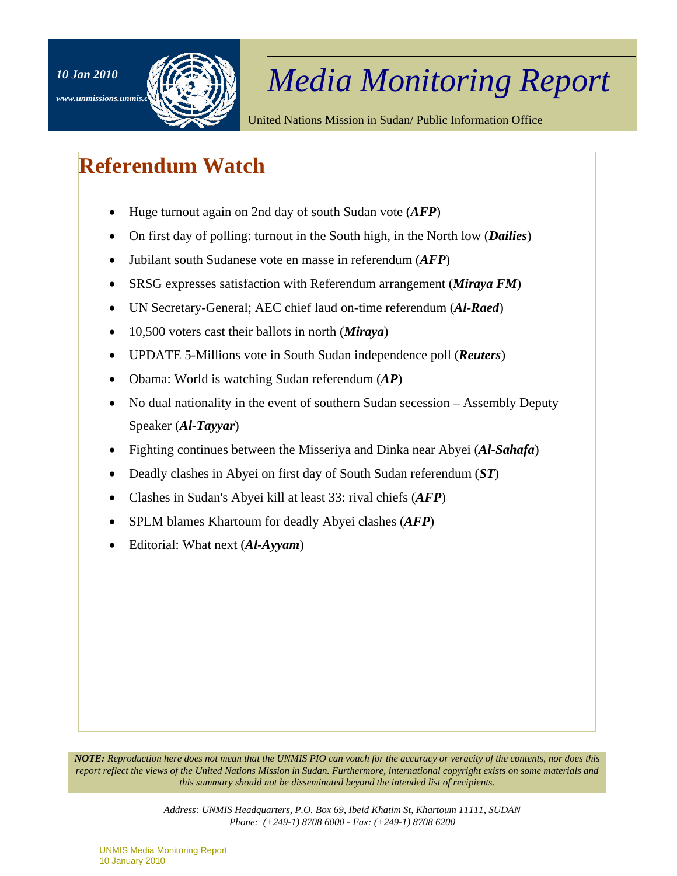

## *Media Monitoring Report 10 Jan 2010*

United Nations Mission in Sudan/ Public Information Office

### **Referendum Watch**

- Huge turnout again on 2nd day of south Sudan vote (*AFP*)
- On first day of polling: turnout in the South high, in the North low (*Dailies*)
- Jubilant south Sudanese vote en masse in referendum (*AFP*)
- SRSG expresses satisfaction with Referendum arrangement (*Miraya FM*)
- UN Secretary-General; AEC chief laud on-time referendum (*Al-Raed*)
- 10,500 voters cast their ballots in north (*Miraya*)
- UPDATE 5-Millions vote in South Sudan independence poll (*Reuters*)
- Obama: World is watching Sudan referendum (*AP*)
- No dual nationality in the event of southern Sudan secession Assembly Deputy Speaker (*Al-Tayyar*)
- Fighting continues between the Misseriya and Dinka near Abyei (*Al-Sahafa*)
- Deadly clashes in Abyei on first day of South Sudan referendum (*ST*)
- Clashes in Sudan's Abyei kill at least 33: rival chiefs (*AFP*)
- SPLM blames Khartoum for deadly Abyei clashes (*AFP*)
- Editorial: What next (*Al-Ayyam*)

*NOTE: Reproduction here does not mean that the UNMIS PIO can vouch for the accuracy or veracity of the contents, nor does this report reflect the views of the United Nations Mission in Sudan. Furthermore, international copyright exists on some materials and this summary should not be disseminated beyond the intended list of recipients.* 

> *Address: UNMIS Headquarters, P.O. Box 69, Ibeid Khatim St, Khartoum 11111, SUDAN Phone: (+249-1) 8708 6000 - Fax: (+249-1) 8708 6200*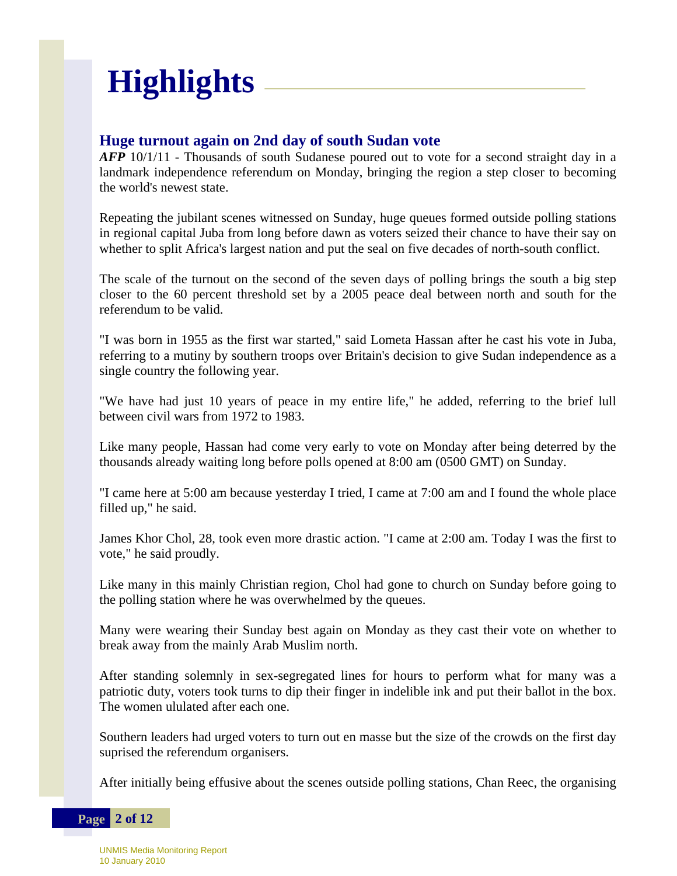# **Highlights**

#### **Huge turnout again on 2nd day of south Sudan vote**

*AFP* 10/1/11 - Thousands of south Sudanese poured out to vote for a second straight day in a landmark independence referendum on Monday, bringing the region a step closer to becoming the world's newest state.

Repeating the jubilant scenes witnessed on Sunday, huge queues formed outside polling stations in regional capital Juba from long before dawn as voters seized their chance to have their say on whether to split Africa's largest nation and put the seal on five decades of north-south conflict.

The scale of the turnout on the second of the seven days of polling brings the south a big step closer to the 60 percent threshold set by a 2005 peace deal between north and south for the referendum to be valid.

"I was born in 1955 as the first war started," said Lometa Hassan after he cast his vote in Juba, referring to a mutiny by southern troops over Britain's decision to give Sudan independence as a single country the following year.

"We have had just 10 years of peace in my entire life," he added, referring to the brief lull between civil wars from 1972 to 1983.

Like many people, Hassan had come very early to vote on Monday after being deterred by the thousands already waiting long before polls opened at 8:00 am (0500 GMT) on Sunday.

"I came here at 5:00 am because yesterday I tried, I came at 7:00 am and I found the whole place filled up," he said.

James Khor Chol, 28, took even more drastic action. "I came at 2:00 am. Today I was the first to vote," he said proudly.

Like many in this mainly Christian region, Chol had gone to church on Sunday before going to the polling station where he was overwhelmed by the queues.

Many were wearing their Sunday best again on Monday as they cast their vote on whether to break away from the mainly Arab Muslim north.

After standing solemnly in sex-segregated lines for hours to perform what for many was a patriotic duty, voters took turns to dip their finger in indelible ink and put their ballot in the box. The women ululated after each one.

Southern leaders had urged voters to turn out en masse but the size of the crowds on the first day suprised the referendum organisers.

After initially being effusive about the scenes outside polling stations, Chan Reec, the organising

**Page 2 of 12**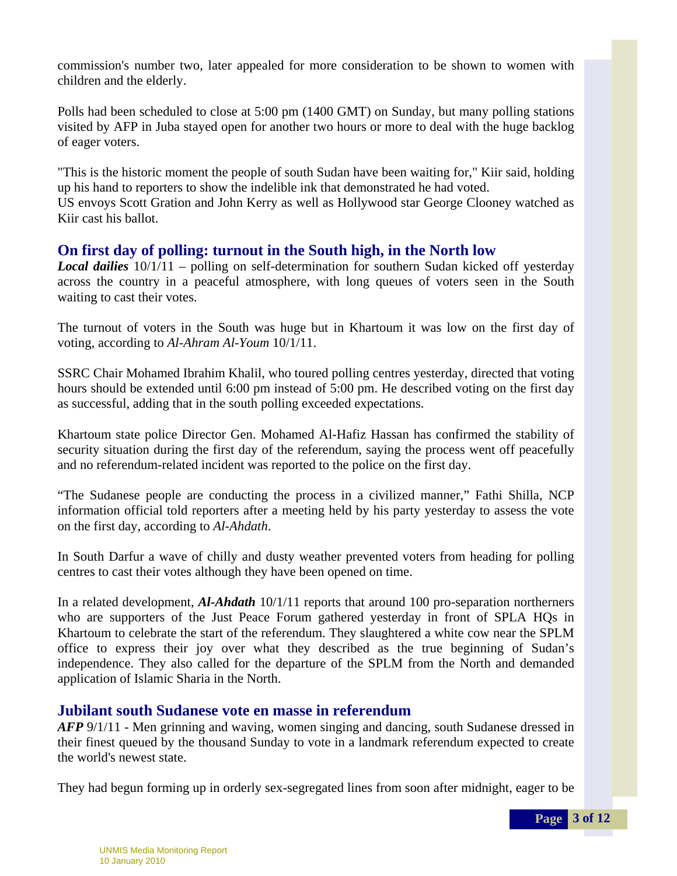commission's number two, later appealed for more consideration to be shown to women with children and the elderly.

Polls had been scheduled to close at 5:00 pm (1400 GMT) on Sunday, but many polling stations visited by AFP in Juba stayed open for another two hours or more to deal with the huge backlog of eager voters.

"This is the historic moment the people of south Sudan have been waiting for," Kiir said, holding up his hand to reporters to show the indelible ink that demonstrated he had voted.

US envoys Scott Gration and John Kerry as well as Hollywood star George Clooney watched as Kiir cast his ballot.

#### **On first day of polling: turnout in the South high, in the North low**

*Local dailies* 10/1/11 – polling on self-determination for southern Sudan kicked off yesterday across the country in a peaceful atmosphere, with long queues of voters seen in the South waiting to cast their votes.

The turnout of voters in the South was huge but in Khartoum it was low on the first day of voting, according to *Al-Ahram Al-Youm* 10/1/11.

SSRC Chair Mohamed Ibrahim Khalil, who toured polling centres yesterday, directed that voting hours should be extended until 6:00 pm instead of 5:00 pm. He described voting on the first day as successful, adding that in the south polling exceeded expectations.

Khartoum state police Director Gen. Mohamed Al-Hafiz Hassan has confirmed the stability of security situation during the first day of the referendum, saying the process went off peacefully and no referendum-related incident was reported to the police on the first day.

"The Sudanese people are conducting the process in a civilized manner," Fathi Shilla, NCP information official told reporters after a meeting held by his party yesterday to assess the vote on the first day, according to *Al-Ahdath*.

In South Darfur a wave of chilly and dusty weather prevented voters from heading for polling centres to cast their votes although they have been opened on time.

In a related development, *Al-Ahdath* 10/1/11 reports that around 100 pro-separation northerners who are supporters of the Just Peace Forum gathered yesterday in front of SPLA HQs in Khartoum to celebrate the start of the referendum. They slaughtered a white cow near the SPLM office to express their joy over what they described as the true beginning of Sudan's independence. They also called for the departure of the SPLM from the North and demanded application of Islamic Sharia in the North.

#### **Jubilant south Sudanese vote en masse in referendum**

*AFP* 9/1/11 - Men grinning and waving, women singing and dancing, south Sudanese dressed in their finest queued by the thousand Sunday to vote in a landmark referendum expected to create the world's newest state.

They had begun forming up in orderly sex-segregated lines from soon after midnight, eager to be

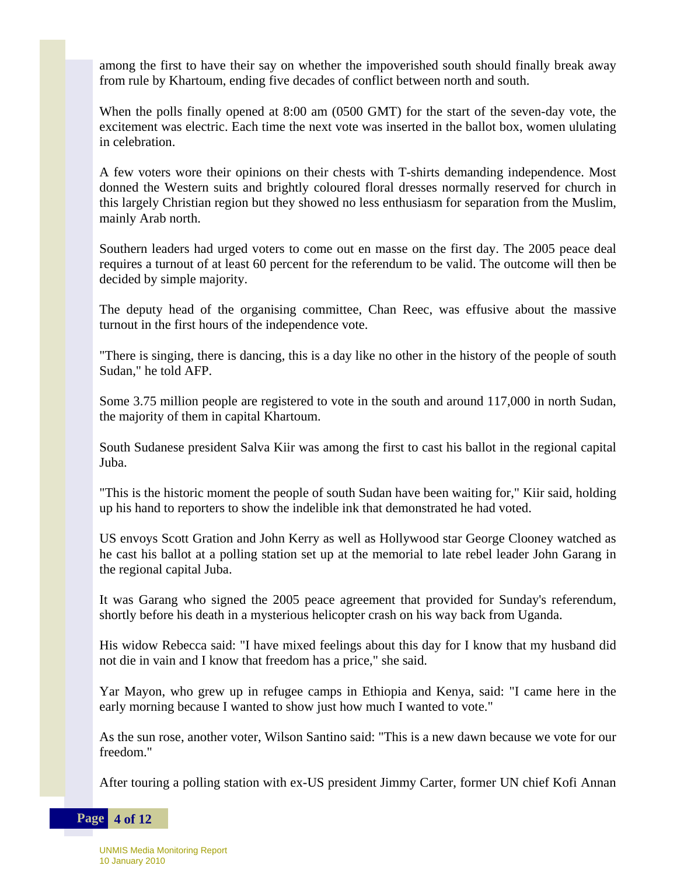among the first to have their say on whether the impoverished south should finally break away from rule by Khartoum, ending five decades of conflict between north and south.

When the polls finally opened at 8:00 am (0500 GMT) for the start of the seven-day vote, the excitement was electric. Each time the next vote was inserted in the ballot box, women ululating in celebration.

A few voters wore their opinions on their chests with T-shirts demanding independence. Most donned the Western suits and brightly coloured floral dresses normally reserved for church in this largely Christian region but they showed no less enthusiasm for separation from the Muslim, mainly Arab north.

Southern leaders had urged voters to come out en masse on the first day. The 2005 peace deal requires a turnout of at least 60 percent for the referendum to be valid. The outcome will then be decided by simple majority.

The deputy head of the organising committee, Chan Reec, was effusive about the massive turnout in the first hours of the independence vote.

"There is singing, there is dancing, this is a day like no other in the history of the people of south Sudan," he told AFP.

Some 3.75 million people are registered to vote in the south and around 117,000 in north Sudan, the majority of them in capital Khartoum.

South Sudanese president Salva Kiir was among the first to cast his ballot in the regional capital Juba.

"This is the historic moment the people of south Sudan have been waiting for," Kiir said, holding up his hand to reporters to show the indelible ink that demonstrated he had voted.

US envoys Scott Gration and John Kerry as well as Hollywood star George Clooney watched as he cast his ballot at a polling station set up at the memorial to late rebel leader John Garang in the regional capital Juba.

It was Garang who signed the 2005 peace agreement that provided for Sunday's referendum, shortly before his death in a mysterious helicopter crash on his way back from Uganda.

His widow Rebecca said: "I have mixed feelings about this day for I know that my husband did not die in vain and I know that freedom has a price," she said.

Yar Mayon, who grew up in refugee camps in Ethiopia and Kenya, said: "I came here in the early morning because I wanted to show just how much I wanted to vote."

As the sun rose, another voter, Wilson Santino said: "This is a new dawn because we vote for our freedom."

After touring a polling station with ex-US president Jimmy Carter, former UN chief Kofi Annan

#### **Page 4 of 12**

UNMIS Media Monitoring Report 10 January 2010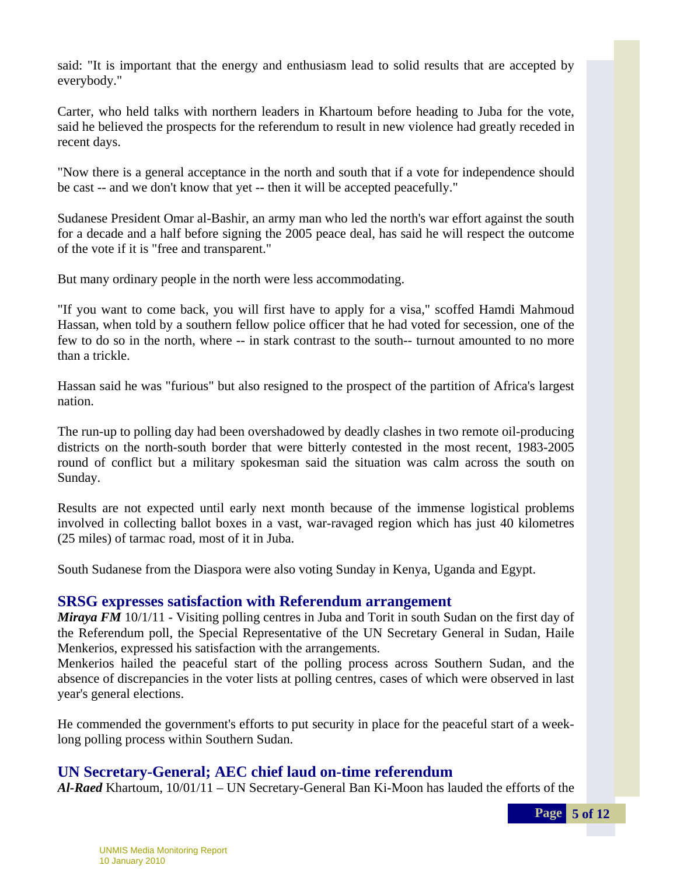said: "It is important that the energy and enthusiasm lead to solid results that are accepted by everybody."

Carter, who held talks with northern leaders in Khartoum before heading to Juba for the vote, said he believed the prospects for the referendum to result in new violence had greatly receded in recent days.

"Now there is a general acceptance in the north and south that if a vote for independence should be cast -- and we don't know that yet -- then it will be accepted peacefully."

Sudanese President Omar al-Bashir, an army man who led the north's war effort against the south for a decade and a half before signing the 2005 peace deal, has said he will respect the outcome of the vote if it is "free and transparent."

But many ordinary people in the north were less accommodating.

"If you want to come back, you will first have to apply for a visa," scoffed Hamdi Mahmoud Hassan, when told by a southern fellow police officer that he had voted for secession, one of the few to do so in the north, where -- in stark contrast to the south-- turnout amounted to no more than a trickle.

Hassan said he was "furious" but also resigned to the prospect of the partition of Africa's largest nation.

 Sunday. The run-up to polling day had been overshadowed by deadly clashes in two remote oil-producing districts on the north-south border that were bitterly contested in the most recent, 1983-2005 round of conflict but a military spokesman said the situation was calm across the south on

Results are not expected until early next month because of the immense logistical problems involved in collecting ballot boxes in a vast, war-ravaged region which has just 40 kilometres (25 miles) of tarmac road, most of it in Juba.

South Sudanese from the Diaspora were also voting Sunday in Kenya, Uganda and Egypt.

#### **SRSG expresses satisfaction with Referendum arrangement**

*Miraya FM* 10/1/11 - Visiting polling centres in Juba and Torit in south Sudan on the first day of the Referendum poll, the Special Representative of the UN Secretary General in Sudan, Haile Menkerios, expressed his satisfaction with the arrangements.

absence of discrepancies in the voter lists at polling centres, cases of which were observed in last Menkerios hailed the peaceful start of the polling process across Southern Sudan, and the year's general elections.

He commended the government's efforts to put security in place for the peaceful start of a weeklong polling process within Southern Sudan.

#### **UN Secretary-General; AEC chief laud on-time referendum**

*Al-Raed* Khartoum, 10/01/11 – UN Secretary-General Ban Ki-Moon has lauded the efforts of the

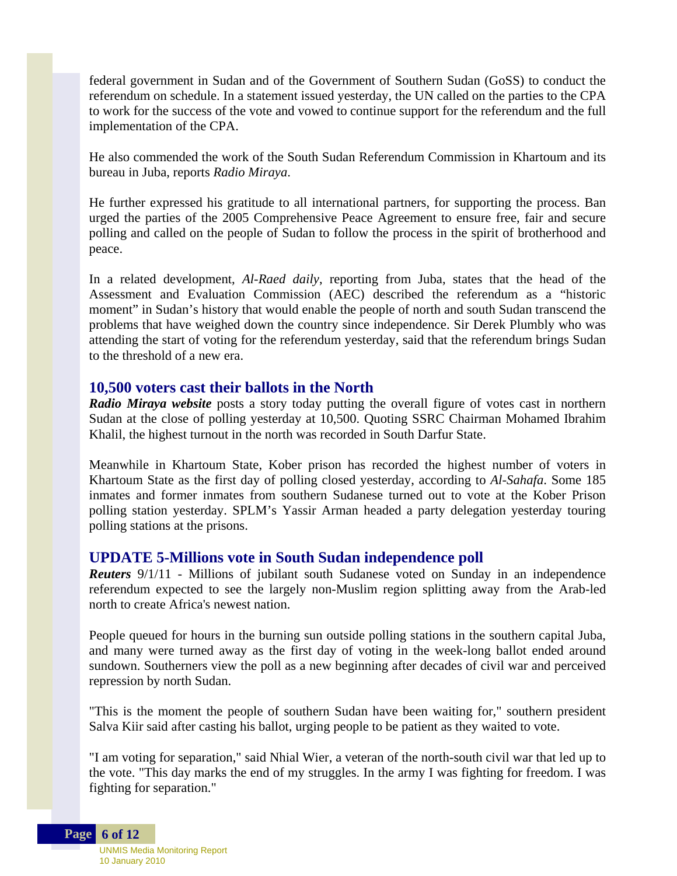federal government in Sudan and of the Government of Southern Sudan (GoSS) to conduct the referendum on schedule. In a statement issued yesterday, the UN called on the parties to the CPA to work for the success of the vote and vowed to continue support for the referendum and the full implementation of the CPA.

He also commended the work of the South Sudan Referendum Commission in Khartoum and its bureau in Juba, reports *Radio Miraya*.

He further expressed his gratitude to all international partners, for supporting the process. Ban urged the parties of the 2005 Comprehensive Peace Agreement to ensure free, fair and secure polling and called on the people of Sudan to follow the process in the spirit of brotherhood and peace.

In a related development, *Al-Raed daily*, reporting from Juba, states that the head of the Assessment and Evaluation Commission (AEC) described the referendum as a "historic moment" in Sudan's history that would enable the people of north and south Sudan transcend the problems that have weighed down the country since independence. Sir Derek Plumbly who was attending the start of voting for the referendum yesterday, said that the referendum brings Sudan to the threshold of a new era.

#### **10,500 voters cast their ballots in the North**

*Radio Miraya website* posts a story today putting the overall figure of votes cast in northern Sudan at the close of polling yesterday at 10,500. Quoting SSRC Chairman Mohamed Ibrahim Khalil, the highest turnout in the north was recorded in South Darfur State.

Meanwhile in Khartoum State, Kober prison has recorded the highest number of voters in Khartoum State as the first day of polling closed yesterday, according to *Al-Sahafa*. Some 185 inmates and former inmates from southern Sudanese turned out to vote at the Kober Prison polling station yesterday. SPLM's Yassir Arman headed a party delegation yesterday touring polling stations at the prisons.

#### **UPDATE 5-Millions vote in South Sudan independence poll**

*Reuters* 9/1/11 - Millions of jubilant south Sudanese voted on Sunday in an independence referendum expected to see the largely non-Muslim region splitting away from the Arab-led north to create Africa's newest nation.

People queued for hours in the burning sun outside polling stations in the southern capital Juba, and many were turned away as the first day of voting in the week-long ballot ended around sundown. Southerners view the poll as a new beginning after decades of civil war and perceived repression by north Sudan.

"This is the moment the people of southern Sudan have been waiting for," southern president Salva Kiir said after casting his ballot, urging people to be patient as they waited to vote.

"I am voting for separation," said Nhial Wier, a veteran of the north-south civil war that led up to the vote. "This day marks the end of my struggles. In the army I was fighting for freedom. I was fighting for separation."

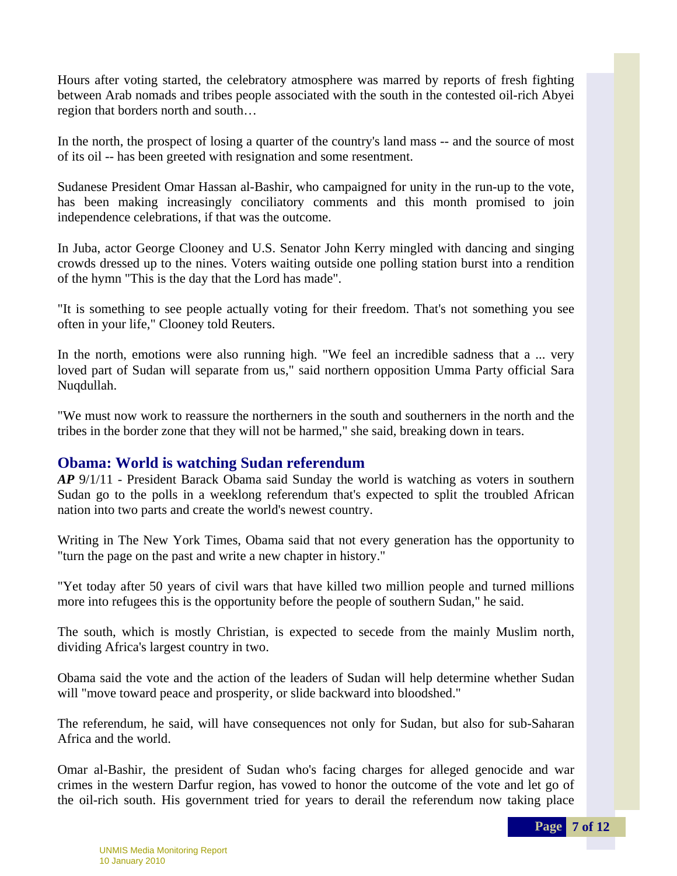Hours after voting started, the celebratory atmosphere was marred by reports of fresh fighting between Arab nomads and tribes people associated with the south in the contested oil-rich Abyei region that borders north and south…

In the north, the prospect of losing a quarter of the country's land mass -- and the source of most of its oil -- has been greeted with resignation and some resentment.

Sudanese President Omar Hassan al-Bashir, who campaigned for unity in the run-up to the vote, has been making increasingly conciliatory comments and this month promised to join independence celebrations, if that was the outcome.

In Juba, actor George Clooney and U.S. Senator John Kerry mingled with dancing and singing crowds dressed up to the nines. Voters waiting outside one polling station burst into a rendition of the hymn "This is the day that the Lord has made".

"It is something to see people actually voting for their freedom. That's not something you see often in your life," Clooney told Reuters.

In the north, emotions were also running high. "We feel an incredible sadness that a ... very loved part of Sudan will separate from us," said northern opposition Umma Party official Sara Nuqdullah.

"We must now work to reassure the northerners in the south and southerners in the north and the tribes in the border zone that they will not be harmed," she said, breaking down in tears.

#### **Obama: World is watching Sudan referendum**

*AP* 9/1/11 - President Barack Obama said Sunday the world is watching as voters in southern Sudan go to the polls in a weeklong referendum that's expected to split the troubled African nation into two parts and create the world's newest country.

Writing in The New York Times, Obama said that not every generation has the opportunity to "turn the page on the past and write a new chapter in history."

"Yet today after 50 years of civil wars that have killed two million people and turned millions more into refugees this is the opportunity before the people of southern Sudan," he said.

The south, which is mostly Christian, is expected to secede from the mainly Muslim north, dividing Africa's largest country in two.

Obama said the vote and the action of the leaders of Sudan will help determine whether Sudan will "move toward peace and prosperity, or slide backward into bloodshed."

The referendum, he said, will have consequences not only for Sudan, but also for sub-Saharan Africa and the world.

Omar al-Bashir, the president of Sudan who's facing charges for alleged genocide and war crimes in the western Darfur region, has vowed to honor the outcome of the vote and let go of the oil-rich south. His government tried for years to derail the referendum now taking place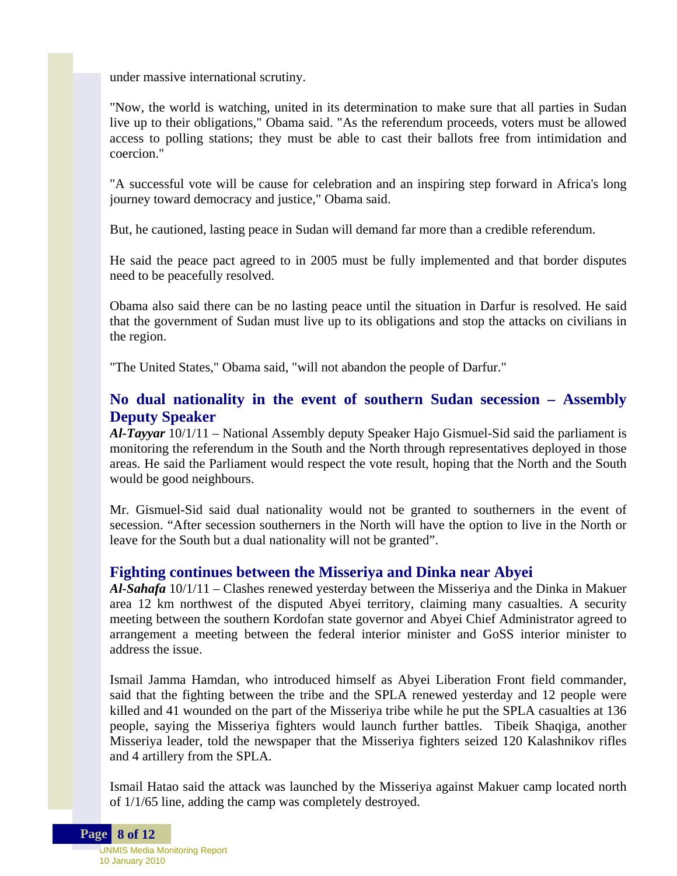under massive international scrutiny.

"Now, the world is watching, united in its determination to make sure that all parties in Sudan live up to their obligations," Obama said. "As the referendum proceeds, voters must be allowed access to polling stations; they must be able to cast their ballots free from intimidation and coercion."

"A successful vote will be cause for celebration and an inspiring step forward in Africa's long journey toward democracy and justice," Obama said.

But, he cautioned, lasting peace in Sudan will demand far more than a credible referendum.

He said the peace pact agreed to in 2005 must be fully implemented and that border disputes need to be peacefully resolved.

Obama also said there can be no lasting peace until the situation in Darfur is resolved. He said that the government of Sudan must live up to its obligations and stop the attacks on civilians in the region.

"The United States," Obama said, "will not abandon the people of Darfur."

#### **No dual nationality in the event of southern Sudan secession – Assembly Deputy Speaker**

*Al-Tayyar* 10/1/11 – National Assembly deputy Speaker Hajo Gismuel-Sid said the parliament is monitoring the referendum in the South and the North through representatives deployed in those areas. He said the Parliament would respect the vote result, hoping that the North and the South would be good neighbours.

Mr. Gismuel-Sid said dual nationality would not be granted to southerners in the event of secession. "After secession southerners in the North will have the option to live in the North or leave for the South but a dual nationality will not be granted".

#### **Fighting continues between the Misseriya and Dinka near Abyei**

*Al-Sahafa* 10/1/11 – Clashes renewed yesterday between the Misseriya and the Dinka in Makuer area 12 km northwest of the disputed Abyei territory, claiming many casualties. A security meeting between the southern Kordofan state governor and Abyei Chief Administrator agreed to arrangement a meeting between the federal interior minister and GoSS interior minister to address the issue.

Ismail Jamma Hamdan, who introduced himself as Abyei Liberation Front field commander, said that the fighting between the tribe and the SPLA renewed yesterday and 12 people were killed and 41 wounded on the part of the Misseriya tribe while he put the SPLA casualties at 136 people, saying the Misseriya fighters would launch further battles. Tibeik Shaqiga, another Misseriya leader, told the newspaper that the Misseriya fighters seized 120 Kalashnikov rifles and 4 artillery from the SPLA.

Ismail Hatao said the attack was launched by the Misseriya against Makuer camp located north of 1/1/65 line, adding the camp was completely destroyed.

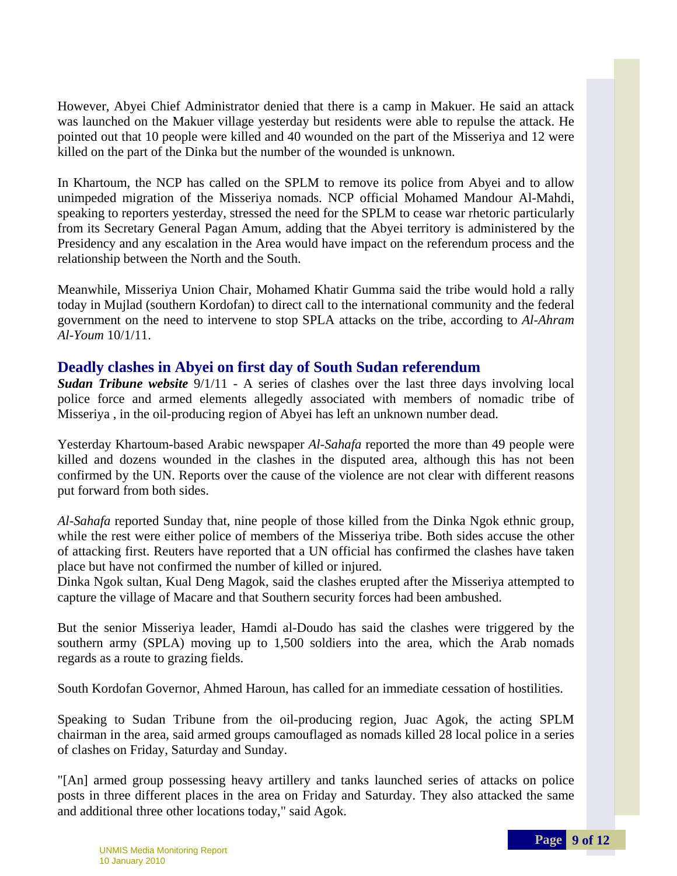However, Abyei Chief Administrator denied that there is a camp in Makuer. He said an attack was launched on the Makuer village yesterday but residents were able to repulse the attack. He pointed out that 10 people were killed and 40 wounded on the part of the Misseriya and 12 were killed on the part of the Dinka but the number of the wounded is unknown.

In Khartoum, the NCP has called on the SPLM to remove its police from Abyei and to allow unimpeded migration of the Misseriya nomads. NCP official Mohamed Mandour Al-Mahdi, speaking to reporters yesterday, stressed the need for the SPLM to cease war rhetoric particularly from its Secretary General Pagan Amum, adding that the Abyei territory is administered by the Presidency and any escalation in the Area would have impact on the referendum process and the relationship between the North and the South.

Meanwhile, Misseriya Union Chair, Mohamed Khatir Gumma said the tribe would hold a rally today in Mujlad (southern Kordofan) to direct call to the international community and the federal government on the need to intervene to stop SPLA attacks on the tribe, according to *Al-Ahram Al-Youm* 10/1/11.

#### **Deadly clashes in Abyei on first day of South Sudan referendum**

*Sudan Tribune website* 9/1/11 - A series of clashes over the last three days involving local police force and armed elements allegedly associated with members of nomadic tribe of Misseriya , in the oil-producing region of Abyei has left an unknown number dead.

Yesterday Khartoum-based Arabic newspaper *Al-Sahafa* reported the more than 49 people were killed and dozens wounded in the clashes in the disputed area, although this has not been confirmed by the UN. Reports over the cause of the violence are not clear with different reasons put forward from both sides.

*Al-Sahafa* reported Sunday that, nine people of those killed from the Dinka Ngok ethnic group, while the rest were either police of members of the Misseriya tribe. Both sides accuse the other of attacking first. Reuters have reported that a UN official has confirmed the clashes have taken place but have not confirmed the number of killed or injured.

Dinka Ngok sultan, Kual Deng Magok, said the clashes erupted after the Misseriya attempted to capture the village of Macare and that Southern security forces had been ambushed.

But the senior Misseriya leader, Hamdi al-Doudo has said the clashes were triggered by the southern army (SPLA) moving up to 1,500 soldiers into the area, which the Arab nomads regards as a route to grazing fields.

South Kordofan Governor, Ahmed Haroun, has called for an immediate cessation of hostilities.

Speaking to Sudan Tribune from the oil-producing region, Juac Agok, the acting SPLM chairman in the area, said armed groups camouflaged as nomads killed 28 local police in a series of clashes on Friday, Saturday and Sunday.

"[An] armed group possessing heavy artillery and tanks launched series of attacks on police posts in three different places in the area on Friday and Saturday. They also attacked the same and additional three other locations today," said Agok.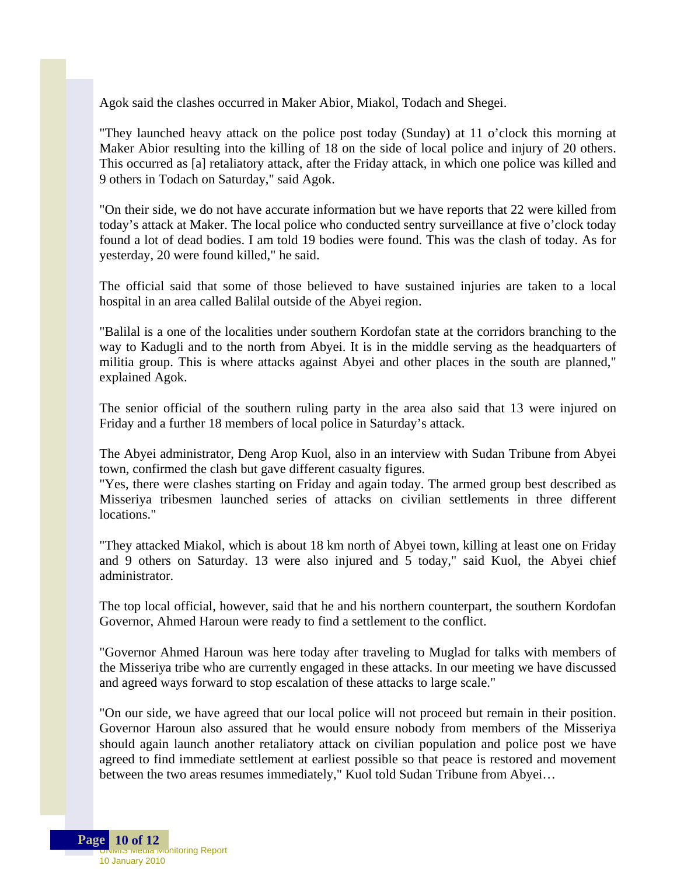Agok said the clashes occurred in Maker Abior, Miakol, Todach and Shegei.

"They launched heavy attack on the police post today (Sunday) at 11 o'clock this morning at Maker Abior resulting into the killing of 18 on the side of local police and injury of 20 others. This occurred as [a] retaliatory attack, after the Friday attack, in which one police was killed and 9 others in Todach on Saturday," said Agok.

"On their side, we do not have accurate information but we have reports that 22 were killed from today's attack at Maker. The local police who conducted sentry surveillance at five o'clock today found a lot of dead bodies. I am told 19 bodies were found. This was the clash of today. As for yesterday, 20 were found killed," he said.

The official said that some of those believed to have sustained injuries are taken to a local hospital in an area called Balilal outside of the Abyei region.

"Balilal is a one of the localities under southern Kordofan state at the corridors branching to the way to Kadugli and to the north from Abyei. It is in the middle serving as the headquarters of militia group. This is where attacks against Abyei and other places in the south are planned," explained Agok.

The senior official of the southern ruling party in the area also said that 13 were injured on Friday and a further 18 members of local police in Saturday's attack.

The Abyei administrator, Deng Arop Kuol, also in an interview with Sudan Tribune from Abyei town, confirmed the clash but gave different casualty figures.

"Yes, there were clashes starting on Friday and again today. The armed group best described as Misseriya tribesmen launched series of attacks on civilian settlements in three different locations."

"They attacked Miakol, which is about 18 km north of Abyei town, killing at least one on Friday and 9 others on Saturday. 13 were also injured and 5 today," said Kuol, the Abyei chief administrator.

The top local official, however, said that he and his northern counterpart, the southern Kordofan Governor, Ahmed Haroun were ready to find a settlement to the conflict.

"Governor Ahmed Haroun was here today after traveling to Muglad for talks with members of the Misseriya tribe who are currently engaged in these attacks. In our meeting we have discussed and agreed ways forward to stop escalation of these attacks to large scale."

"On our side, we have agreed that our local police will not proceed but remain in their position. Governor Haroun also assured that he would ensure nobody from members of the Misseriya should again launch another retaliatory attack on civilian population and police post we have agreed to find immediate settlement at earliest possible so that peace is restored and movement between the two areas resumes immediately," Kuol told Sudan Tribune from Abyei…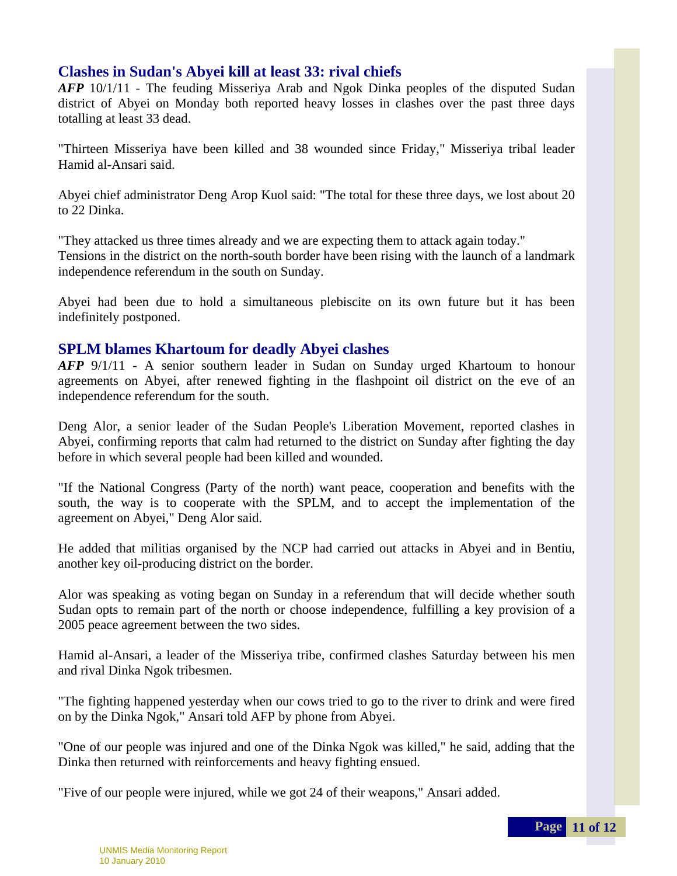#### **Clashes in Sudan's Abyei kill at least 33: rival chiefs**

*AFP* 10/1/11 - The feuding Misseriya Arab and Ngok Dinka peoples of the disputed Sudan district of Abyei on Monday both reported heavy losses in clashes over the past three days totalling at least 33 dead.

"Thirteen Misseriya have been killed and 38 wounded since Friday," Misseriya tribal leader Hamid al-Ansari said.

Abyei chief administrator Deng Arop Kuol said: "The total for these three days, we lost about 20 to 22 Dinka.

"They attacked us three times already and we are expecting them to attack again today." Tensions in the district on the north-south border have been rising with the launch of a landmark independence referendum in the south on Sunday.

Abyei had been due to hold a simultaneous plebiscite on its own future but it has been indefinitely postponed.

#### **SPLM blames Khartoum for deadly Abyei clashes**

*AFP* 9/1/11 - A senior southern leader in Sudan on Sunday urged Khartoum to honour agreements on Abyei, after renewed fighting in the flashpoint oil district on the eve of an independence referendum for the south.

Deng Alor, a senior leader of the Sudan People's Liberation Movement, reported clashes in Abyei, confirming reports that calm had returned to the district on Sunday after fighting the day before in which several people had been killed and wounded.

"If the National Congress (Party of the north) want peace, cooperation and benefits with the south, the way is to cooperate with the SPLM, and to accept the implementation of the agreement on Abyei," Deng Alor said.

He added that militias organised by the NCP had carried out attacks in Abyei and in Bentiu, another key oil-producing district on the border.

Alor was speaking as voting began on Sunday in a referendum that will decide whether south Sudan opts to remain part of the north or choose independence, fulfilling a key provision of a 2005 peace agreement between the two sides.

Hamid al-Ansari, a leader of the Misseriya tribe, confirmed clashes Saturday between his men and rival Dinka Ngok tribesmen.

"The fighting happened yesterday when our cows tried to go to the river to drink and were fired on by the Dinka Ngok," Ansari told AFP by phone from Abyei.

"One of our people was injured and one of the Dinka Ngok was killed," he said, adding that the Dinka then returned with reinforcements and heavy fighting ensued.

**Page 11 of 12** 

"Five of our people were injured, while we got 24 of their weapons," Ansari added.